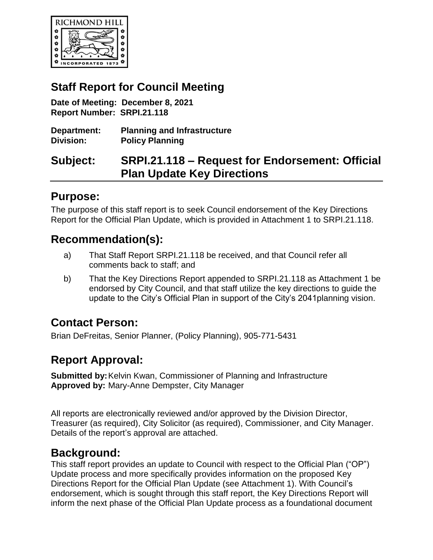

## **Staff Report for Council Meeting**

**Date of Meeting: December 8, 2021 Report Number: SRPI.21.118**

**Department: Planning and Infrastructure Division: Policy Planning** 

## **Subject: SRPI.21.118 – Request for Endorsement: Official Plan Update Key Directions**

### **Purpose:**

The purpose of this staff report is to seek Council endorsement of the Key Directions Report for the Official Plan Update, which is provided in Attachment 1 to SRPI.21.118.

### **Recommendation(s):**

- a) That Staff Report SRPI.21.118 be received, and that Council refer all comments back to staff; and
- b) That the Key Directions Report appended to SRPI.21.118 as Attachment 1 be endorsed by City Council, and that staff utilize the key directions to guide the update to the City's Official Plan in support of the City's 2041planning vision.

## **Contact Person:**

Brian DeFreitas, Senior Planner, (Policy Planning), 905-771-5431

## **Report Approval:**

**Submitted by:**Kelvin Kwan, Commissioner of Planning and Infrastructure **Approved by:** Mary-Anne Dempster, City Manager

All reports are electronically reviewed and/or approved by the Division Director, Treasurer (as required), City Solicitor (as required), Commissioner, and City Manager. Details of the report's approval are attached.

## **Background:**

This staff report provides an update to Council with respect to the Official Plan ("OP") Update process and more specifically provides information on the proposed Key Directions Report for the Official Plan Update (see Attachment 1). With Council's endorsement, which is sought through this staff report, the Key Directions Report will inform the next phase of the Official Plan Update process as a foundational document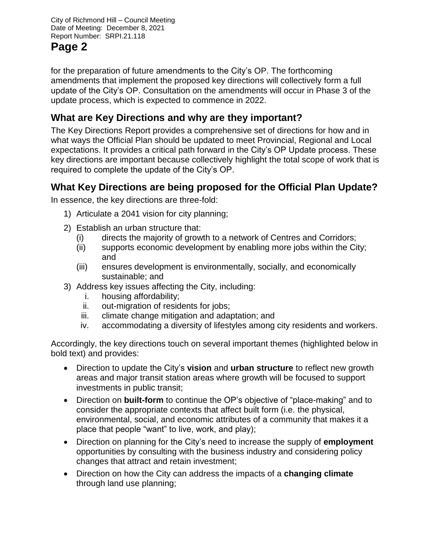# **Page 2**

for the preparation of future amendments to the City's OP. The forthcoming amendments that implement the proposed key directions will collectively form a full update of the City's OP. Consultation on the amendments will occur in Phase 3 of the update process, which is expected to commence in 2022.

### **What are Key Directions and why are they important?**

The Key Directions Report provides a comprehensive set of directions for how and in what ways the Official Plan should be updated to meet Provincial, Regional and Local expectations. It provides a critical path forward in the City's OP Update process. These key directions are important because collectively highlight the total scope of work that is required to complete the update of the City's OP.

### **What Key Directions are being proposed for the Official Plan Update?**

In essence, the key directions are three-fold:

- 1) Articulate a 2041 vision for city planning;
- 2) Establish an urban structure that:
	- (i) directs the majority of growth to a network of Centres and Corridors;
	- (ii) supports economic development by enabling more jobs within the City; and
	- (iii) ensures development is environmentally, socially, and economically sustainable; and
- 3) Address key issues affecting the City, including:
	- i. housing affordability;
	- ii. out-migration of residents for jobs;
	- iii. climate change mitigation and adaptation; and
	- iv. accommodating a diversity of lifestyles among city residents and workers.

Accordingly, the key directions touch on several important themes (highlighted below in bold text) and provides:

- Direction to update the City's **vision** and **urban structure** to reflect new growth areas and major transit station areas where growth will be focused to support investments in public transit;
- Direction on **built-form** to continue the OP's objective of "place-making" and to consider the appropriate contexts that affect built form (i.e. the physical, environmental, social, and economic attributes of a community that makes it a place that people "want" to live, work, and play);
- Direction on planning for the City's need to increase the supply of **employment**  opportunities by consulting with the business industry and considering policy changes that attract and retain investment;
- Direction on how the City can address the impacts of a **changing climate** through land use planning;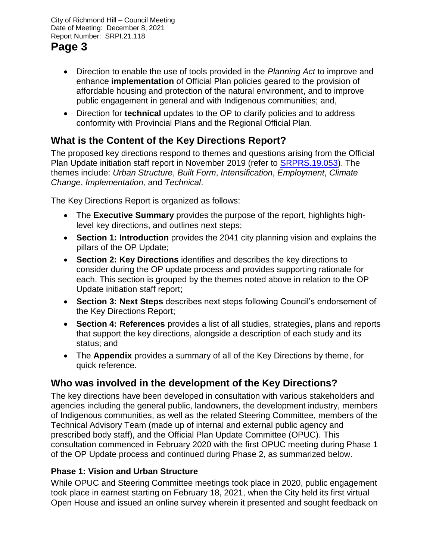# **Page 3**

- Direction to enable the use of tools provided in the *Planning Act* to improve and enhance **implementation** of Official Plan policies geared to the provision of affordable housing and protection of the natural environment, and to improve public engagement in general and with Indigenous communities; and,
- Direction for **technical** updates to the OP to clarify policies and to address conformity with Provincial Plans and the Regional Official Plan.

## **What is the Content of the Key Directions Report?**

The proposed key directions respond to themes and questions arising from the Official Plan Update initiation staff report in November 2019 (refer to **SRPRS.19.053**). The themes include: *Urban Structure*, *Built Form*, *Intensification*, *Employment*, *Climate Change*, *Implementation,* and *Technical*.

The Key Directions Report is organized as follows:

- The **Executive Summary** provides the purpose of the report, highlights highlevel key directions, and outlines next steps;
- **Section 1: Introduction** provides the 2041 city planning vision and explains the pillars of the OP Update;
- **Section 2: Key Directions** identifies and describes the key directions to consider during the OP update process and provides supporting rationale for each. This section is grouped by the themes noted above in relation to the OP Update initiation staff report;
- **Section 3: Next Steps** describes next steps following Council's endorsement of the Key Directions Report;
- **Section 4: References** provides a list of all studies, strategies, plans and reports that support the key directions, alongside a description of each study and its status; and
- The **Appendix** provides a summary of all of the Key Directions by theme, for quick reference.

### **Who was involved in the development of the Key Directions?**

The key directions have been developed in consultation with various stakeholders and agencies including the general public, landowners, the development industry, members of Indigenous communities, as well as the related Steering Committee, members of the Technical Advisory Team (made up of internal and external public agency and prescribed body staff), and the Official Plan Update Committee (OPUC). This consultation commenced in February 2020 with the first OPUC meeting during Phase 1 of the OP Update process and continued during Phase 2, as summarized below.

#### **Phase 1: Vision and Urban Structure**

While OPUC and Steering Committee meetings took place in 2020, public engagement took place in earnest starting on February 18, 2021, when the City held its first virtual Open House and issued an online survey wherein it presented and sought feedback on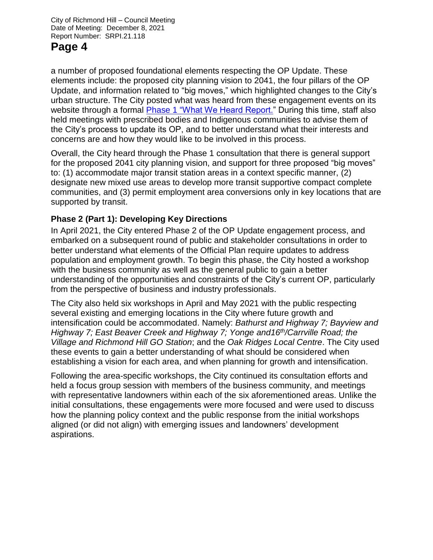## **Page 4**

a number of proposed foundational elements respecting the OP Update. These elements include: the proposed city planning vision to 2041, the four pillars of the OP Update, and information related to "big moves," which highlighted changes to the City's urban structure. The City posted what was heard from these engagement events on its website through a formal Phase 1 ["What We Heard Report.](https://www.richmondhill.ca/en/shared-content/resources/documents/City-Plan-2041---Phase-1---What-We-Heard-Report.pdf)" During this time, staff also held meetings with prescribed bodies and Indigenous communities to advise them of the City's process to update its OP, and to better understand what their interests and concerns are and how they would like to be involved in this process.

Overall, the City heard through the Phase 1 consultation that there is general support for the proposed 2041 city planning vision, and support for three proposed "big moves" to: (1) accommodate major transit station areas in a context specific manner, (2) designate new mixed use areas to develop more transit supportive compact complete communities, and (3) permit employment area conversions only in key locations that are supported by transit.

#### **Phase 2 (Part 1): Developing Key Directions**

In April 2021, the City entered Phase 2 of the OP Update engagement process, and embarked on a subsequent round of public and stakeholder consultations in order to better understand what elements of the Official Plan require updates to address population and employment growth. To begin this phase, the City hosted a workshop with the business community as well as the general public to gain a better understanding of the opportunities and constraints of the City's current OP, particularly from the perspective of business and industry professionals.

The City also held six workshops in April and May 2021 with the public respecting several existing and emerging locations in the City where future growth and intensification could be accommodated. Namely: *Bathurst and Highway 7; Bayview and Highway 7; East Beaver Creek and Highway 7; Yonge and16th/Carrville Road; the Village and Richmond Hill GO Station*; and the *Oak Ridges Local Centre*. The City used these events to gain a better understanding of what should be considered when establishing a vision for each area, and when planning for growth and intensification.

Following the area-specific workshops, the City continued its consultation efforts and held a focus group session with members of the business community, and meetings with representative landowners within each of the six aforementioned areas. Unlike the initial consultations, these engagements were more focused and were used to discuss how the planning policy context and the public response from the initial workshops aligned (or did not align) with emerging issues and landowners' development aspirations.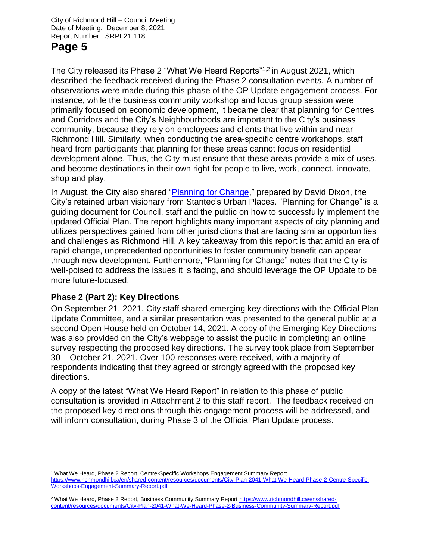## **Page 5**

The City released its Phase 2 "What We Heard Reports"1,2 in August 2021, which described the feedback received during the Phase 2 consultation events. A number of observations were made during this phase of the OP Update engagement process. For instance, while the business community workshop and focus group session were primarily focused on economic development, it became clear that planning for Centres and Corridors and the City's Neighbourhoods are important to the City's business community, because they rely on employees and clients that live within and near Richmond Hill. Similarly, when conducting the area-specific centre workshops, staff heard from participants that planning for these areas cannot focus on residential development alone. Thus, the City must ensure that these areas provide a mix of uses, and become destinations in their own right for people to live, work, connect, innovate, shop and play.

In August, the City also shared ["Planning for Change,](https://www.richmondhill.ca/en/shared-content/resources/documents/City-Plan-2041-Planning-for-Change-report.pdf)" prepared by David Dixon, the City's retained urban visionary from Stantec's Urban Places. "Planning for Change" is a guiding document for Council, staff and the public on how to successfully implement the updated Official Plan. The report highlights many important aspects of city planning and utilizes perspectives gained from other jurisdictions that are facing similar opportunities and challenges as Richmond Hill. A key takeaway from this report is that amid an era of rapid change, unprecedented opportunities to foster community benefit can appear through new development. Furthermore, "Planning for Change" notes that the City is well-poised to address the issues it is facing, and should leverage the OP Update to be more future-focused.

#### **Phase 2 (Part 2): Key Directions**

On September 21, 2021, City staff shared emerging key directions with the Official Plan Update Committee, and a similar presentation was presented to the general public at a second Open House held on October 14, 2021. A copy of the Emerging Key Directions was also provided on the City's webpage to assist the public in completing an online survey respecting the proposed key directions. The survey took place from September 30 – October 21, 2021. Over 100 responses were received, with a majority of respondents indicating that they agreed or strongly agreed with the proposed key directions.

A copy of the latest "What We Heard Report" in relation to this phase of public consultation is provided in Attachment 2 to this staff report. The feedback received on the proposed key directions through this engagement process will be addressed, and will inform consultation, during Phase 3 of the Official Plan Update process.

 $\overline{a}$ <sup>1</sup> What We Heard, Phase 2 Report, Centre-Specific Workshops Engagement Summary Report [https://www.richmondhill.ca/en/shared-content/resources/documents/City-Plan-2041-What-We-Heard-Phase-2-Centre-Specific-](https://www.richmondhill.ca/en/shared-content/resources/documents/City-Plan-2041-What-We-Heard-Phase-2-Centre-Specific-Workshops-Engagement-Summary-Report.pdf)[Workshops-Engagement-Summary-Report.pdf](https://www.richmondhill.ca/en/shared-content/resources/documents/City-Plan-2041-What-We-Heard-Phase-2-Centre-Specific-Workshops-Engagement-Summary-Report.pdf)

<sup>2</sup> What We Heard, Phase 2 Report, Business Community Summary Repor[t https://www.richmondhill.ca/en/shared](https://www.richmondhill.ca/en/shared-content/resources/documents/City-Plan-2041-What-We-Heard-Phase-2-Business-Community-Summary-Report.pdf)[content/resources/documents/City-Plan-2041-What-We-Heard-Phase-2-Business-Community-Summary-Report.pdf](https://www.richmondhill.ca/en/shared-content/resources/documents/City-Plan-2041-What-We-Heard-Phase-2-Business-Community-Summary-Report.pdf)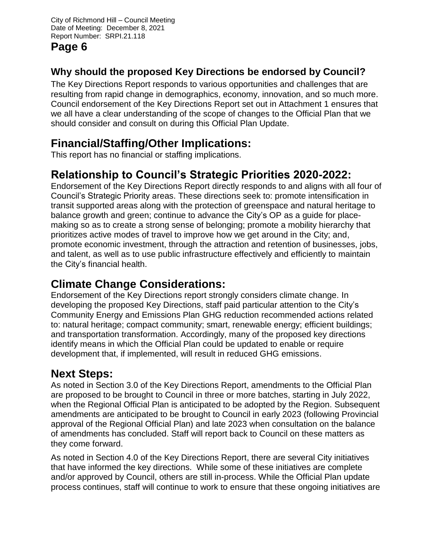## **Page 6**

## **Why should the proposed Key Directions be endorsed by Council?**

The Key Directions Report responds to various opportunities and challenges that are resulting from rapid change in demographics, economy, innovation, and so much more. Council endorsement of the Key Directions Report set out in Attachment 1 ensures that we all have a clear understanding of the scope of changes to the Official Plan that we should consider and consult on during this Official Plan Update.

## **Financial/Staffing/Other Implications:**

This report has no financial or staffing implications.

# **Relationship to Council's Strategic Priorities 2020-2022:**

Endorsement of the Key Directions Report directly responds to and aligns with all four of Council's Strategic Priority areas. These directions seek to: promote intensification in transit supported areas along with the protection of greenspace and natural heritage to balance growth and green; continue to advance the City's OP as a guide for placemaking so as to create a strong sense of belonging; promote a mobility hierarchy that prioritizes active modes of travel to improve how we get around in the City; and, promote economic investment, through the attraction and retention of businesses, jobs, and talent, as well as to use public infrastructure effectively and efficiently to maintain the City's financial health.

# **Climate Change Considerations:**

Endorsement of the Key Directions report strongly considers climate change. In developing the proposed Key Directions, staff paid particular attention to the City's Community Energy and Emissions Plan GHG reduction recommended actions related to: natural heritage; compact community; smart, renewable energy; efficient buildings; and transportation transformation. Accordingly, many of the proposed key directions identify means in which the Official Plan could be updated to enable or require development that, if implemented, will result in reduced GHG emissions.

# **Next Steps:**

As noted in Section 3.0 of the Key Directions Report, amendments to the Official Plan are proposed to be brought to Council in three or more batches, starting in July 2022, when the Regional Official Plan is anticipated to be adopted by the Region. Subsequent amendments are anticipated to be brought to Council in early 2023 (following Provincial approval of the Regional Official Plan) and late 2023 when consultation on the balance of amendments has concluded. Staff will report back to Council on these matters as they come forward.

As noted in Section 4.0 of the Key Directions Report, there are several City initiatives that have informed the key directions. While some of these initiatives are complete and/or approved by Council, others are still in-process. While the Official Plan update process continues, staff will continue to work to ensure that these ongoing initiatives are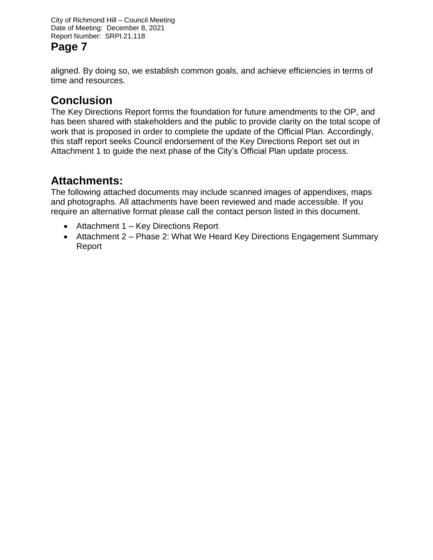# **Page 7**

aligned. By doing so, we establish common goals, and achieve efficiencies in terms of time and resources.

# **Conclusion**

The Key Directions Report forms the foundation for future amendments to the OP, and has been shared with stakeholders and the public to provide clarity on the total scope of work that is proposed in order to complete the update of the Official Plan. Accordingly, this staff report seeks Council endorsement of the Key Directions Report set out in Attachment 1 to guide the next phase of the City's Official Plan update process.

## **Attachments:**

The following attached documents may include scanned images of appendixes, maps and photographs. All attachments have been reviewed and made accessible. If you require an alternative format please call the contact person listed in this document.

- Attachment 1 Key Directions Report
- Attachment 2 Phase 2: What We Heard Key Directions Engagement Summary Report